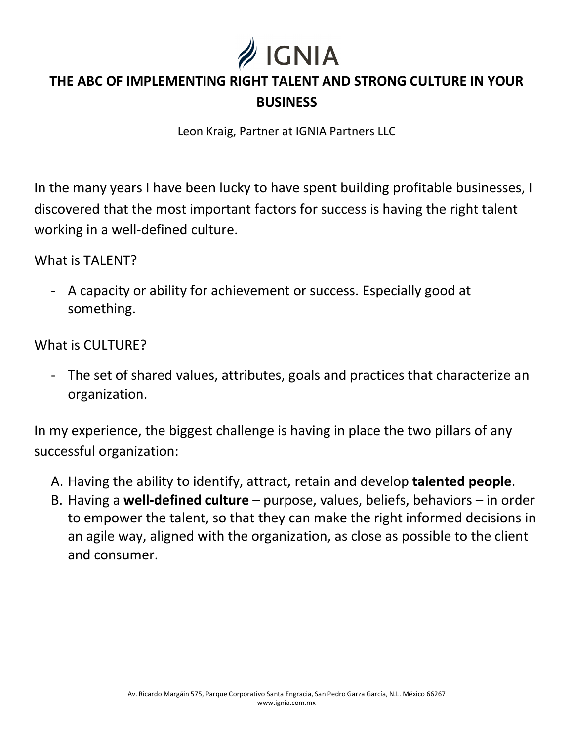

## **THE ABC OF IMPLEMENTING RIGHT TALENT AND STRONG CULTURE IN YOUR BUSINESS**

Leon Kraig, Partner at IGNIA Partners LLC

In the many years I have been lucky to have spent building profitable businesses, I discovered that the most important factors for success is having the right talent working in a well-defined culture.

What is TALENT?

- A capacity or ability for achievement or success. Especially good at something.

What is CULTURE?

- The set of shared values, attributes, goals and practices that characterize an organization.

In my experience, the biggest challenge is having in place the two pillars of any successful organization:

- A. Having the ability to identify, attract, retain and develop **talented people**.
- B. Having a **well-defined culture** purpose, values, beliefs, behaviors in order to empower the talent, so that they can make the right informed decisions in an agile way, aligned with the organization, as close as possible to the client and consumer.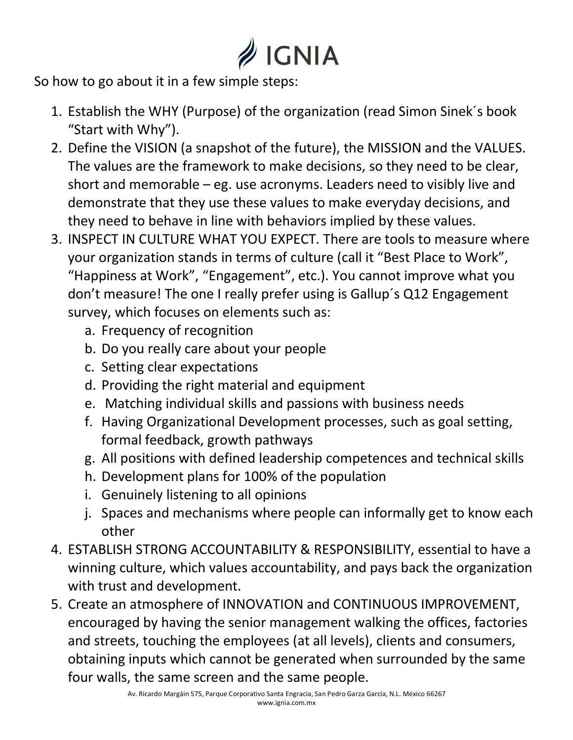## $\mathscr{D}$  IGNIA

So how to go about it in a few simple steps:

- 1. Establish the WHY (Purpose) of the organization (read Simon Sinek´s book "Start with Why").
- 2. Define the VISION (a snapshot of the future), the MISSION and the VALUES. The values are the framework to make decisions, so they need to be clear, short and memorable – eg. use acronyms. Leaders need to visibly live and demonstrate that they use these values to make everyday decisions, and they need to behave in line with behaviors implied by these values.
- 3. INSPECT IN CULTURE WHAT YOU EXPECT. There are tools to measure where your organization stands in terms of culture (call it "Best Place to Work", "Happiness at Work", "Engagement", etc.). You cannot improve what you don't measure! The one I really prefer using is Gallup´s Q12 Engagement survey, which focuses on elements such as:
	- a. Frequency of recognition
	- b. Do you really care about your people
	- c. Setting clear expectations
	- d. Providing the right material and equipment
	- e. Matching individual skills and passions with business needs
	- f. Having Organizational Development processes, such as goal setting, formal feedback, growth pathways
	- g. All positions with defined leadership competences and technical skills
	- h. Development plans for 100% of the population
	- i. Genuinely listening to all opinions
	- j. Spaces and mechanisms where people can informally get to know each other
- 4. ESTABLISH STRONG ACCOUNTABILITY & RESPONSIBILITY, essential to have a winning culture, which values accountability, and pays back the organization with trust and development.
- 5. Create an atmosphere of INNOVATION and CONTINUOUS IMPROVEMENT, encouraged by having the senior management walking the offices, factories and streets, touching the employees (at all levels), clients and consumers, obtaining inputs which cannot be generated when surrounded by the same four walls, the same screen and the same people.